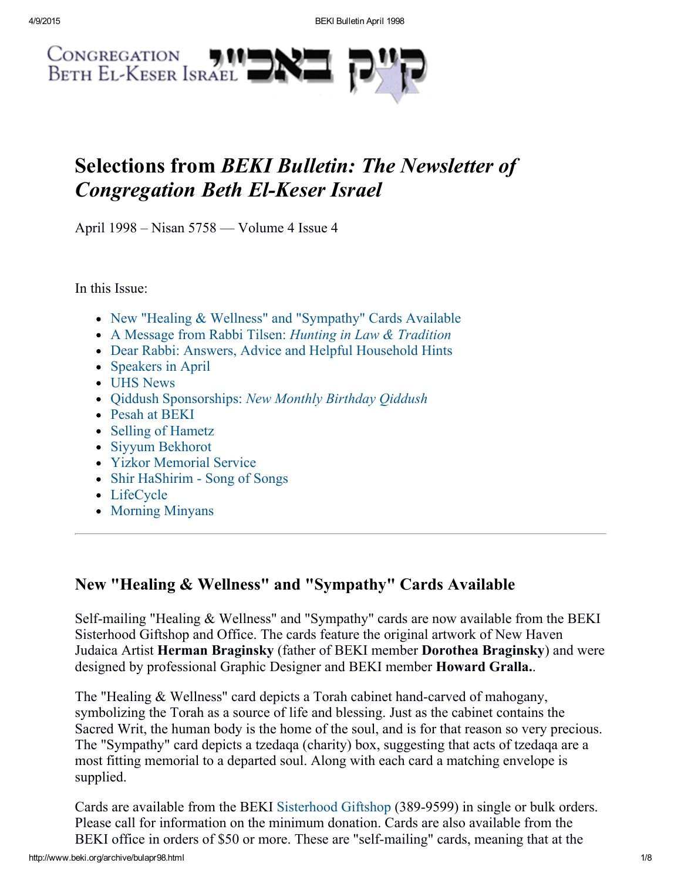

# Selections from BEKI Bulletin: The Newsletter of **Congregation Beth El-Keser Israel**

April 1998 – Nisan 5758 — Volume 4 Issue 4

In this Issue:

- New "Healing & Wellness" and "Sympathy" Cards Available
- A Message from Rabbi Tilsen: *Hunting in Law & Tradition*
- Dear Rabbi: Answers, Advice and Helpful Household Hints
- Speakers in April
- UHS News
- Oiddush Sponsorships: New Monthly Birthday Oiddush
- Pesah at BEKI
- Selling of Hametz
- Siyyum Bekhorot
- Yizkor Memorial Service
- Shir HaShirim Song of Songs
- LifeCycle
- Morning Minyans

### New "Healing & Wellness" and "Sympathy" Cards Available

Self-mailing "Healing  $&$  Wellness" and "Sympathy" cards are now available from the BEKI Sisterhood Giftshop and Office. The cards feature the original artwork of New Haven Judaica Artist Herman Braginsky (father of BEKI member Dorothea Braginsky) and were designed by professional Graphic Designer and BEKI member Howard Gralla..

The "Healing & Wellness" card depicts a Torah cabinet hand-carved of mahogany, symbolizing the Torah as a source of life and blessing. Just as the cabinet contains the Sacred Writ, the human body is the home of the soul, and is for that reason so very precious. The "Sympathy" card depicts a tzedaqa (charity) box, suggesting that acts of tzedaqa are a most fitting memorial to a departed soul. Along with each card a matching envelope is supplied.

Cards are available from the BEKI [Sisterhood](http://www.beki.org/archive/sisterhood.html#giftshop) Giftshop (389-9599) in single or bulk orders. Please call for information on the minimum donation. Cards are also available from the BEKI office in orders of \$50 or more. These are "self-mailing" cards, meaning that at the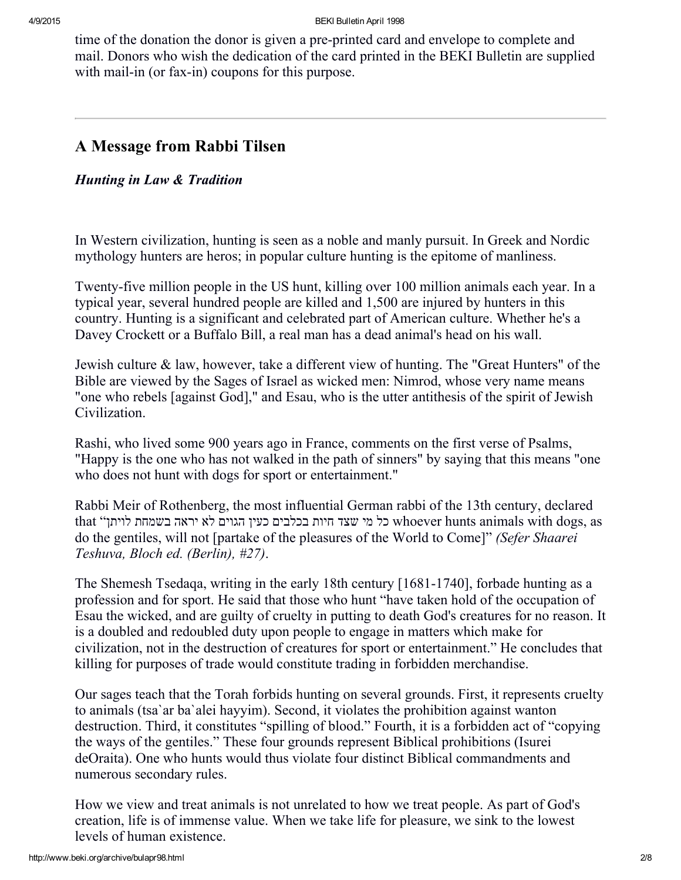time of the donation the donor is given a pre-printed card and envelope to complete and mail. Donors who wish the dedication of the card printed in the BEKI Bulletin are supplied with mail-in (or fax-in) coupons for this purpose.

### A Message from Rabbi Tilsen

#### Hunting in Law & Tradition

In Western civilization, hunting is seen as a noble and manly pursuit. In Greek and Nordic mythology hunters are heros; in popular culture hunting is the epitome of manliness.

Twenty-five million people in the US hunt, killing over 100 million animals each year. In a typical year, several hundred people are killed and 1,500 are injured by hunters in this country. Hunting is a significant and celebrated part of American culture. Whether he's a Davey Crockett or a Buffalo Bill, a real man has a dead animal's head on his wall.

Jewish culture & law, however, take a different view of hunting. The "Great Hunters" of the Bible are viewed by the Sages of Israel as wicked men: Nimrod, whose very name means "one who rebels [against God]," and Esau, who is the utter antithesis of the spirit of Jewish Civilization.

Rashi, who lived some 900 years ago in France, comments on the first verse of Psalms, "Happy is the one who has not walked in the path of sinners" by saying that this means "one who does not hunt with dogs for sport or entertainment."

Rabbi Meir of Rothenberg, the most influential German rabbi of the 13th century, declared that "כל מי שצד חיות בכלבים כעין הגוים לא יראה בשמחת לויתן whoever hunts animals with dogs, as do the gentiles, will not [partake of the pleasures of the World to Come]" (Sefer Shaarei Teshuva, Bloch ed. (Berlin), #27).

The Shemesh Tsedaqa, writing in the early 18th century [1681-1740], forbade hunting as a profession and for sport. He said that those who hunt "have taken hold of the occupation of Esau the wicked, and are guilty of cruelty in putting to death God's creatures for no reason. It is a doubled and redoubled duty upon people to engage in matters which make for civilization, not in the destruction of creatures for sport or entertainment." He concludes that killing for purposes of trade would constitute trading in forbidden merchandise.

Our sages teach that the Torah forbids hunting on several grounds. First, it represents cruelty to animals (tsa`ar ba`alei hayyim). Second, it violates the prohibition against wanton destruction. Third, it constitutes "spilling of blood." Fourth, it is a forbidden act of "copying the ways of the gentiles." These four grounds represent Biblical prohibitions (Isurei deOraita). One who hunts would thus violate four distinct Biblical commandments and numerous secondary rules.

How we view and treat animals is not unrelated to how we treat people. As part of God's creation, life is of immense value. When we take life for pleasure, we sink to the lowest levels of human existence.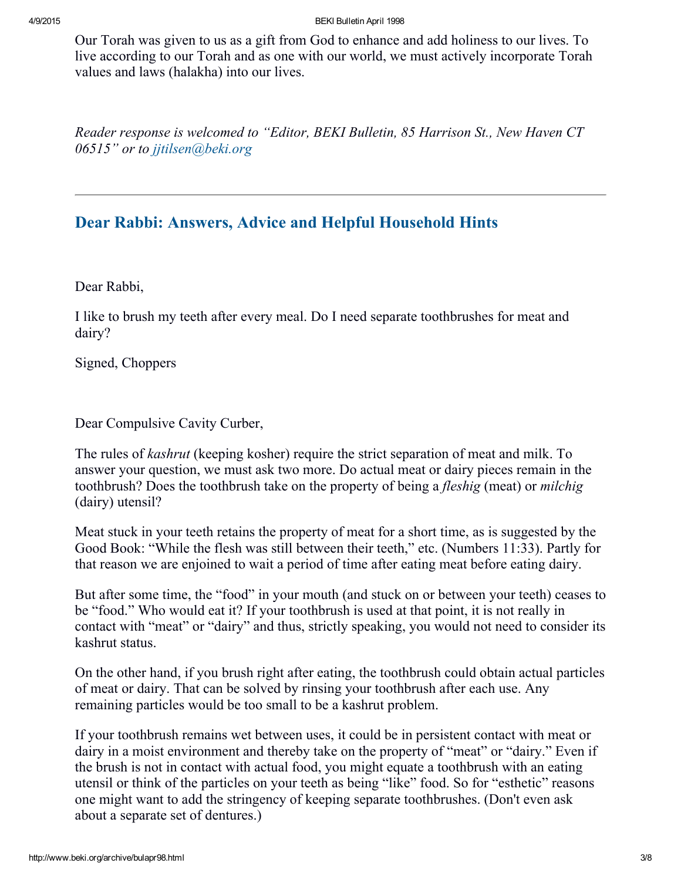4/9/2015 BEKI Bulletin April 1998

Our Torah was given to us as a gift from God to enhance and add holiness to our lives. To live according to our Torah and as one with our world, we must actively incorporate Torah values and laws (halakha) into our lives.

Reader response is welcomed to "Editor, BEKI Bulletin, 85 Harrison St., New Haven CT 06515" or to jitilsen@beki.org

### Dear Rabbi: Answers, Advice and Helpful [Household](http://www.beki.org/archive/dearrab.html) Hints

Dear Rabbi,

I like to brush my teeth after every meal. Do I need separate toothbrushes for meat and dairy?

Signed, Choppers

Dear Compulsive Cavity Curber,

The rules of *kashrut* (keeping kosher) require the strict separation of meat and milk. To answer your question, we must ask two more. Do actual meat or dairy pieces remain in the toothbrush? Does the toothbrush take on the property of being a fleshig (meat) or milchig (dairy) utensil?

Meat stuck in your teeth retains the property of meat for a short time, as is suggested by the Good Book: "While the flesh was still between their teeth," etc. (Numbers 11:33). Partly for that reason we are enjoined to wait a period of time after eating meat before eating dairy.

But after some time, the "food" in your mouth (and stuck on or between your teeth) ceases to be "food." Who would eat it? If your toothbrush is used at that point, it is not really in contact with "meat" or "dairy" and thus, strictly speaking, you would not need to consider its kashrut status.

On the other hand, if you brush right after eating, the toothbrush could obtain actual particles of meat or dairy. That can be solved by rinsing your toothbrush after each use. Any remaining particles would be too small to be a kashrut problem.

If your toothbrush remains wet between uses, it could be in persistent contact with meat or dairy in a moist environment and thereby take on the property of "meat" or "dairy." Even if the brush is not in contact with actual food, you might equate a toothbrush with an eating utensil or think of the particles on your teeth as being "like" food. So for "esthetic" reasons one might want to add the stringency of keeping separate toothbrushes. (Don't even ask about a separate set of dentures.)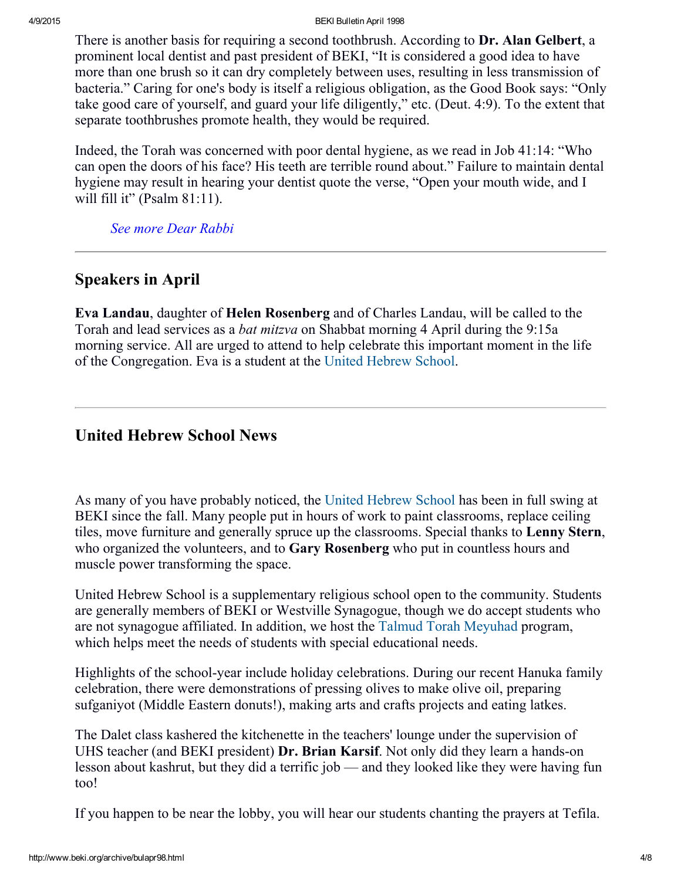4/9/2015 BEKI Bulletin April 1998

There is another basis for requiring a second toothbrush. According to Dr. Alan Gelbert, a prominent local dentist and past president of BEKI, "It is considered a good idea to have more than one brush so it can dry completely between uses, resulting in less transmission of bacteria." Caring for one's body is itself a religious obligation, as the Good Book says: "Only take good care of yourself, and guard your life diligently," etc. (Deut. 4:9). To the extent that separate toothbrushes promote health, they would be required.

Indeed, the Torah was concerned with poor dental hygiene, as we read in Job 41:14: "Who can open the doors of his face? His teeth are terrible round about." Failure to maintain dental hygiene may result in hearing your dentist quote the verse, "Open your mouth wide, and I will fill it" (Psalm 81:11).

See more Dear [Rabbi](http://www.beki.org/archive/dearrab.html)

### Speakers in April

Eva Landau, daughter of Helen Rosenberg and of Charles Landau, will be called to the Torah and lead services as a *bat mitzva* on Shabbat morning 4 April during the 9:15a morning service. All are urged to attend to help celebrate this important moment in the life of the Congregation. Eva is a student at the United [Hebrew](http://www.beki.org/archive/youth.html#UHS) School.

### United Hebrew School News

As many of you have probably noticed, the United [Hebrew](http://www.beki.org/archive/youth.html#UHS) School has been in full swing at BEKI since the fall. Many people put in hours of work to paint classrooms, replace ceiling tiles, move furniture and generally spruce up the classrooms. Special thanks to Lenny Stern, who organized the volunteers, and to Gary Rosenberg who put in countless hours and muscle power transforming the space.

United Hebrew School is a supplementary religious school open to the community. Students are generally members of BEKI or Westville Synagogue, though we do accept students who are not synagogue affiliated. In addition, we host the Talmud Torah [Meyuhad](http://www.beki.org/archive/youth.html#ttm) program, which helps meet the needs of students with special educational needs.

Highlights of the school-year include holiday celebrations. During our recent Hanuka family celebration, there were demonstrations of pressing olives to make olive oil, preparing sufganiyot (Middle Eastern donuts!), making arts and crafts projects and eating latkes.

The Dalet class kashered the kitchenette in the teachers' lounge under the supervision of UHS teacher (and BEKI president) Dr. Brian Karsif. Not only did they learn a hands-on lesson about kashrut, but they did a terrific job — and they looked like they were having fun too!

If you happen to be near the lobby, you will hear our students chanting the prayers at Tefila.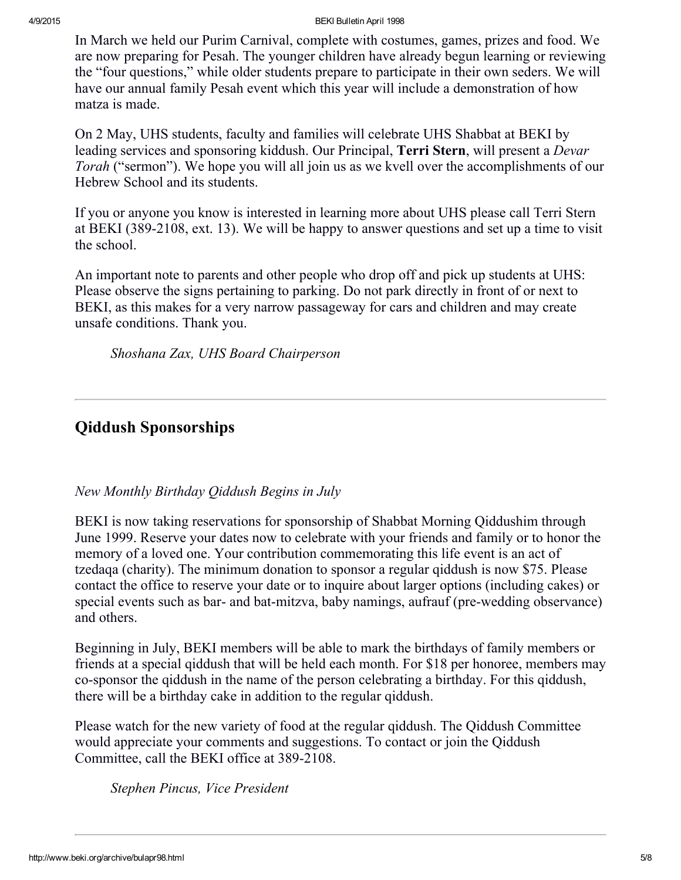#### 4/9/2015 BEKI Bulletin April 1998

In March we held our Purim Carnival, complete with costumes, games, prizes and food. We are now preparing for Pesah. The younger children have already begun learning or reviewing the "four questions," while older students prepare to participate in their own seders. We will have our annual family Pesah event which this year will include a demonstration of how matza is made.

On 2 May, UHS students, faculty and families will celebrate UHS Shabbat at BEKI by leading services and sponsoring kiddush. Our Principal, Terri Stern, will present a *Devar* Torah ("sermon"). We hope you will all join us as we kvell over the accomplishments of our Hebrew School and its students.

If you or anyone you know is interested in learning more about UHS please call Terri Stern at BEKI (389-2108, ext. 13). We will be happy to answer questions and set up a time to visit the school.

An important note to parents and other people who drop off and pick up students at UHS: Please observe the signs pertaining to parking. Do not park directly in front of or next to BEKI, as this makes for a very narrow passageway for cars and children and may create unsafe conditions. Thank you.

Shoshana Zax, UHS Board Chairperson

### Qiddush Sponsorships

New Monthly Birthday Qiddush Begins in July

BEKI is now taking reservations for sponsorship of Shabbat Morning Qiddushim through June 1999. Reserve your dates now to celebrate with your friends and family or to honor the memory of a loved one. Your contribution commemorating this life event is an act of tzedaqa (charity). The minimum donation to sponsor a regular qiddush is now \$75. Please contact the office to reserve your date or to inquire about larger options (including cakes) or special events such as bar- and bat-mitzva, baby namings, aufrauf (pre-wedding observance) and others.

Beginning in July, BEKI members will be able to mark the birthdays of family members or friends at a special qiddush that will be held each month. For \$18 per honoree, members may co-sponsor the qiddush in the name of the person celebrating a birthday. For this qiddush, there will be a birthday cake in addition to the regular qiddush.

Please watch for the new variety of food at the regular qiddush. The Qiddush Committee would appreciate your comments and suggestions. To contact or join the Qiddush Committee, call the BEKI office at 389-2108.

Stephen Pincus, Vice President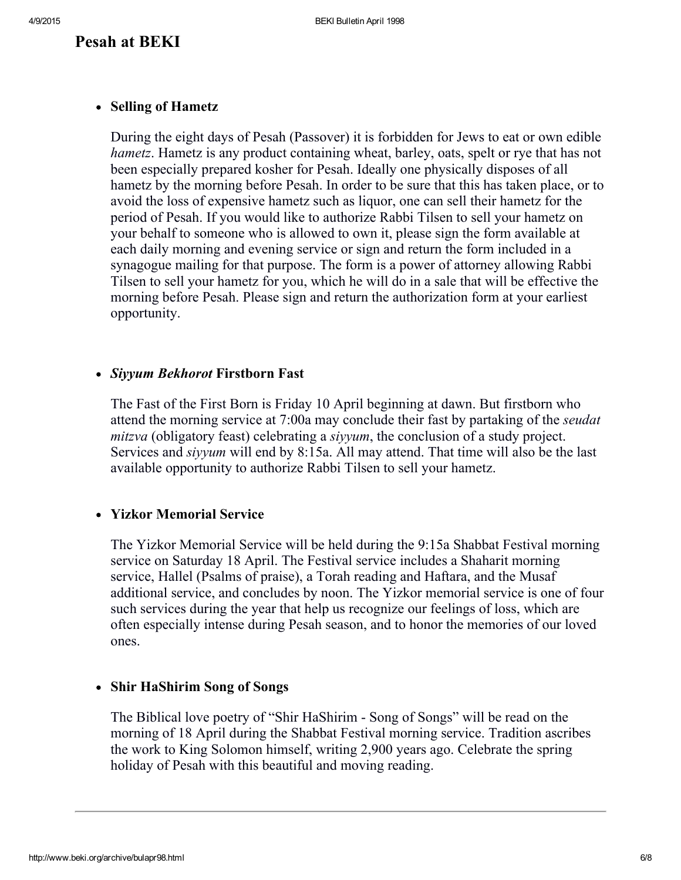### Pesah at BEKI

#### • Selling of Hametz

During the eight days of Pesah (Passover) it is forbidden for Jews to eat or own edible hametz. Hametz is any product containing wheat, barley, oats, spelt or rye that has not been especially prepared kosher for Pesah. Ideally one physically disposes of all hametz by the morning before Pesah. In order to be sure that this has taken place, or to avoid the loss of expensive hametz such as liquor, one can sell their hametz for the period of Pesah. If you would like to authorize Rabbi Tilsen to sell your hametz on your behalf to someone who is allowed to own it, please sign the form available at each daily morning and evening service or sign and return the form included in a synagogue mailing for that purpose. The form is a power of attorney allowing Rabbi Tilsen to sell your hametz for you, which he will do in a sale that will be effective the morning before Pesah. Please sign and return the authorization form at your earliest opportunity.

#### • Siyyum Bekhorot Firstborn Fast

The Fast of the First Born is Friday 10 April beginning at dawn. But firstborn who attend the morning service at 7:00a may conclude their fast by partaking of the seudat mitzva (obligatory feast) celebrating a siyyum, the conclusion of a study project. Services and siyyum will end by 8:15a. All may attend. That time will also be the last available opportunity to authorize Rabbi Tilsen to sell your hametz.

#### Yizkor Memorial Service

The Yizkor Memorial Service will be held during the 9:15a Shabbat Festival morning service on Saturday 18 April. The Festival service includes a Shaharit morning service, Hallel (Psalms of praise), a Torah reading and Haftara, and the Musaf additional service, and concludes by noon. The Yizkor memorial service is one of four such services during the year that help us recognize our feelings of loss, which are often especially intense during Pesah season, and to honor the memories of our loved ones.

#### Shir HaShirim Song of Songs

The Biblical love poetry of "Shir HaShirim - Song of Songs" will be read on the morning of 18 April during the Shabbat Festival morning service. Tradition ascribes the work to King Solomon himself, writing 2,900 years ago. Celebrate the spring holiday of Pesah with this beautiful and moving reading.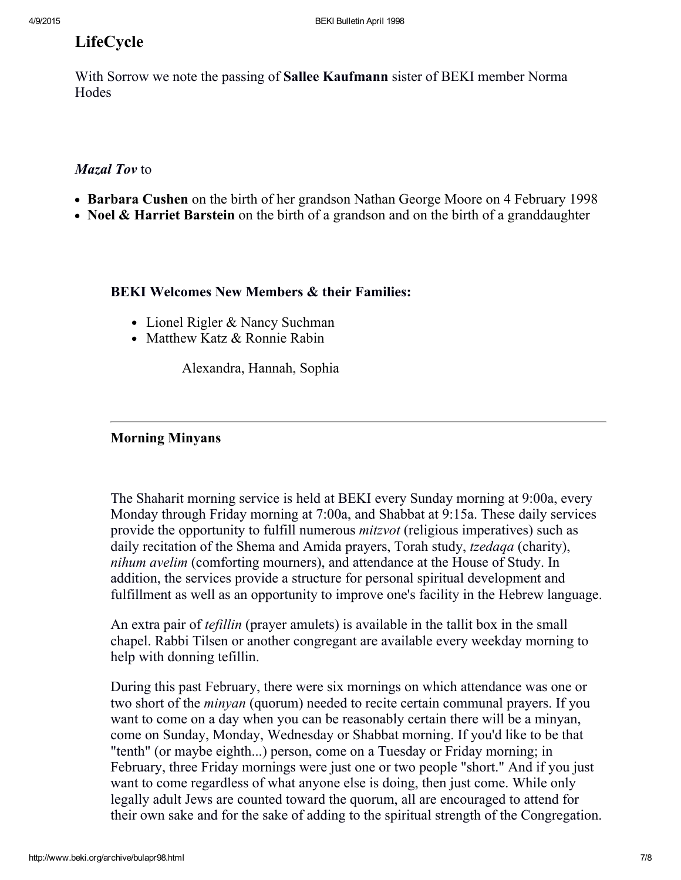## LifeCycle

With Sorrow we note the passing of **Sallee Kaufmann** sister of BEKI member Norma Hodes

#### Mazal Toy to

- Barbara Cushen on the birth of her grandson Nathan George Moore on 4 February 1998
- Noel & Harriet Barstein on the birth of a grandson and on the birth of a granddaughter

#### BEKI Welcomes New Members & their Families:

- Lionel Rigler & Nancy Suchman
- Matthew Katz  $&$  Ronnie Rabin

Alexandra, Hannah, Sophia

#### Morning Minyans

The Shaharit morning service is held at BEKI every Sunday morning at 9:00a, every Monday through Friday morning at 7:00a, and Shabbat at 9:15a. These daily services provide the opportunity to fulfill numerous mitzvot (religious imperatives) such as daily recitation of the Shema and Amida prayers, Torah study, *tzedaqa* (charity), nihum avelim (comforting mourners), and attendance at the House of Study. In addition, the services provide a structure for personal spiritual development and fulfillment as well as an opportunity to improve one's facility in the Hebrew language.

An extra pair of tefillin (prayer amulets) is available in the tallit box in the small chapel. Rabbi Tilsen or another congregant are available every weekday morning to help with donning tefillin.

During this past February, there were six mornings on which attendance was one or two short of the minyan (quorum) needed to recite certain communal prayers. If you want to come on a day when you can be reasonably certain there will be a minyan, come on Sunday, Monday, Wednesday or Shabbat morning. If you'd like to be that "tenth" (or maybe eighth...) person, come on a Tuesday or Friday morning; in February, three Friday mornings were just one or two people "short." And if you just want to come regardless of what anyone else is doing, then just come. While only legally adult Jews are counted toward the quorum, all are encouraged to attend for their own sake and for the sake of adding to the spiritual strength of the Congregation.